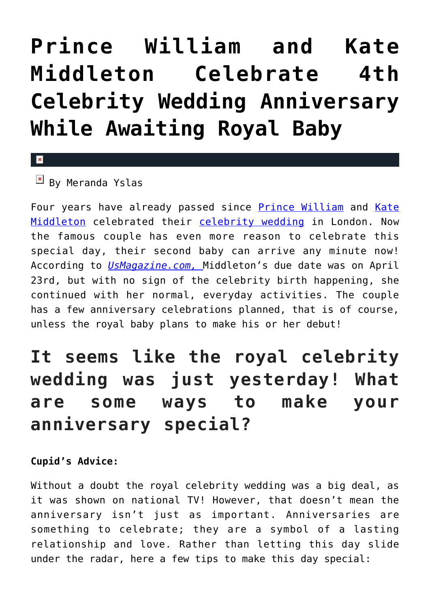## **[Prince William and Kate](https://cupidspulse.com/92319/prince-william-kate-middleton-celebrate-4th-celebrity-wedding-anniversary-awaiting-royal-baby/) [Middleton Celebrate 4th](https://cupidspulse.com/92319/prince-william-kate-middleton-celebrate-4th-celebrity-wedding-anniversary-awaiting-royal-baby/) [Celebrity Wedding Anniversary](https://cupidspulse.com/92319/prince-william-kate-middleton-celebrate-4th-celebrity-wedding-anniversary-awaiting-royal-baby/) [While Awaiting Royal Baby](https://cupidspulse.com/92319/prince-william-kate-middleton-celebrate-4th-celebrity-wedding-anniversary-awaiting-royal-baby/)**

## $\vert \mathbf{x} \vert$

 $\boxed{\times}$  By Meranda Yslas

Four years have already passed since [Prince William](http://cupidspulse.com/89063/prince-william/) and [Kate](http://cupidspulse.com/89071/kate-middleton/) [Middleton](http://cupidspulse.com/89071/kate-middleton/) celebrated their [celebrity wedding](http://cupidspulse.com/celebrity-relationships/wedding-engagement/) in London. Now the famous couple has even more reason to celebrate this special day, their second baby can arrive any minute now! According to *[UsMagazine.com,](http://www.usmagazine.com/celebrity-news/news/kate-middleton-prince-william-celebrate-fourth-wedding-anniversary-2015294)* Middleton's due date was on April 23rd, but with no sign of the celebrity birth happening, she continued with her normal, everyday activities. The couple has a few anniversary celebrations planned, that is of course, unless the royal baby plans to make his or her debut!

## **It seems like the royal celebrity wedding was just yesterday! What are some ways to make your anniversary special?**

## **Cupid's Advice:**

Without a doubt the royal celebrity wedding was a big deal, as it was shown on national TV! However, that doesn't mean the anniversary isn't just as important. Anniversaries are something to celebrate; they are a symbol of a lasting relationship and love. Rather than letting this day slide under the radar, here a few tips to make this day special: